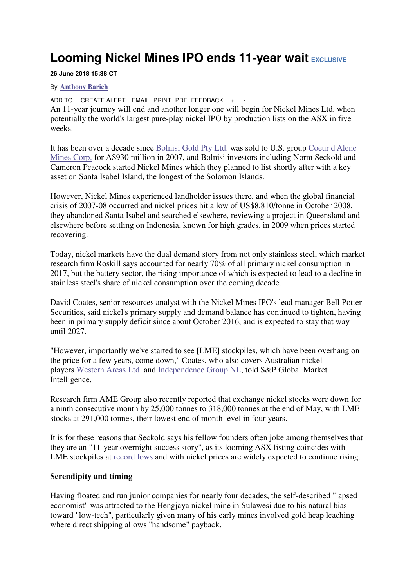## **Looming Nickel Mines IPO ends 11-year wait EXCLUSIVE**

## **26 June 2018 15:38 CT**

## By **Anthony Barich**

ADD TO CREATE ALERT EMAIL PRINT PDF FEEDBACK + An 11-year journey will end and another longer one will begin for Nickel Mines Ltd. when potentially the world's largest pure-play nickel IPO by production lists on the ASX in five weeks.

It has been over a decade since Bolnisi Gold Pty Ltd. was sold to U.S. group Coeur d'Alene Mines Corp. for A\$930 million in 2007, and Bolnisi investors including Norm Seckold and Cameron Peacock started Nickel Mines which they planned to list shortly after with a key asset on Santa Isabel Island, the longest of the Solomon Islands.

However, Nickel Mines experienced landholder issues there, and when the global financial crisis of 2007-08 occurred and nickel prices hit a low of US\$8,810/tonne in October 2008, they abandoned Santa Isabel and searched elsewhere, reviewing a project in Queensland and elsewhere before settling on Indonesia, known for high grades, in 2009 when prices started recovering.

Today, nickel markets have the dual demand story from not only stainless steel, which market research firm Roskill says accounted for nearly 70% of all primary nickel consumption in 2017, but the battery sector, the rising importance of which is expected to lead to a decline in stainless steel's share of nickel consumption over the coming decade.

David Coates, senior resources analyst with the Nickel Mines IPO's lead manager Bell Potter Securities, said nickel's primary supply and demand balance has continued to tighten, having been in primary supply deficit since about October 2016, and is expected to stay that way until 2027.

"However, importantly we've started to see [LME] stockpiles, which have been overhang on the price for a few years, come down," Coates, who also covers Australian nickel players Western Areas Ltd. and Independence Group NL, told S&P Global Market Intelligence.

Research firm AME Group also recently reported that exchange nickel stocks were down for a ninth consecutive month by 25,000 tonnes to 318,000 tonnes at the end of May, with LME stocks at 291,000 tonnes, their lowest end of month level in four years.

It is for these reasons that Seckold says his fellow founders often joke among themselves that they are an "11-year overnight success story", as its looming ASX listing coincides with LME stockpiles at record lows and with nickel prices are widely expected to continue rising.

## **Serendipity and timing**

Having floated and run junior companies for nearly four decades, the self-described "lapsed economist" was attracted to the Hengjaya nickel mine in Sulawesi due to his natural bias toward "low-tech", particularly given many of his early mines involved gold heap leaching where direct shipping allows "handsome" payback.